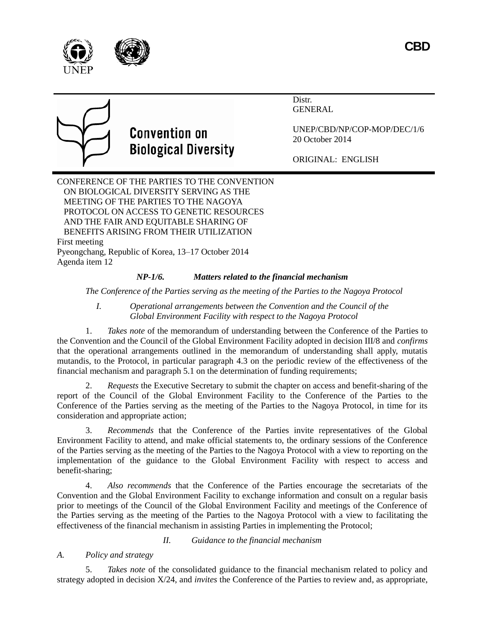



Distr. GENERAL



## **Convention on Biological Diversity**

UNEP/CBD/NP/COP-MOP/DEC/1/6 20 October 2014

ORIGINAL: ENGLISH

CONFERENCE OF THE PARTIES TO THE CONVENTION ON BIOLOGICAL DIVERSITY SERVING AS THE MEETING OF THE PARTIES TO THE NAGOYA PROTOCOL ON ACCESS TO GENETIC RESOURCES AND THE FAIR AND EQUITABLE SHARING OF BENEFITS ARISING FROM THEIR UTILIZATION First meeting Pyeongchang, Republic of Korea, 13–17 October 2014 Agenda item 12

## *NP-1/6. Matters related to the financial mechanism*

*The Conference of the Parties serving as the meeting of the Parties to the Nagoya Protocol*

*I. Operational arrangements between the Convention and the Council of the Global Environment Facility with respect to the Nagoya Protocol*

1. *Takes note* of the memorandum of understanding between the Conference of the Parties to the Convention and the Council of the Global Environment Facility adopted in decision III/8 and *confirms* that the operational arrangements outlined in the memorandum of understanding shall apply, mutatis mutandis, to the Protocol, in particular paragraph 4.3 on the periodic review of the effectiveness of the financial mechanism and paragraph 5.1 on the determination of funding requirements;

2. *Requests* the Executive Secretary to submit the chapter on access and benefit-sharing of the report of the Council of the Global Environment Facility to the Conference of the Parties to the Conference of the Parties serving as the meeting of the Parties to the Nagoya Protocol, in time for its consideration and appropriate action;

3. *Recommends* that the Conference of the Parties invite representatives of the Global Environment Facility to attend, and make official statements to, the ordinary sessions of the Conference of the Parties serving as the meeting of the Parties to the Nagoya Protocol with a view to reporting on the implementation of the guidance to the Global Environment Facility with respect to access and benefit-sharing;

4. *Also recommends* that the Conference of the Parties encourage the secretariats of the Convention and the Global Environment Facility to exchange information and consult on a regular basis prior to meetings of the Council of the Global Environment Facility and meetings of the Conference of the Parties serving as the meeting of the Parties to the Nagoya Protocol with a view to facilitating the effectiveness of the financial mechanism in assisting Parties in implementing the Protocol;

*II. Guidance to the financial mechanism*

*A. Policy and strategy*

5. *Takes note* of the consolidated guidance to the financial mechanism related to policy and strategy adopted in decision X/24, and *invites* the Conference of the Parties to review and, as appropriate,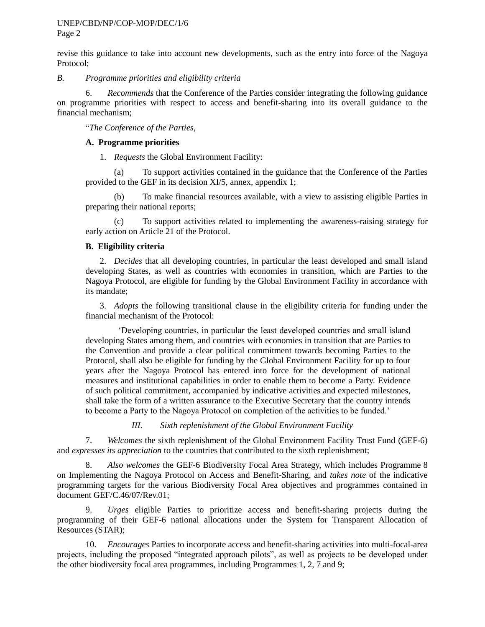revise this guidance to take into account new developments, such as the entry into force of the Nagoya Protocol;

*B. Programme priorities and eligibility criteria*

6. *Recommends* that the Conference of the Parties consider integrating the following guidance on programme priorities with respect to access and benefit-sharing into its overall guidance to the financial mechanism;

"*The Conference of the Parties,*

## **A. Programme priorities**

1. *Requests* the Global Environment Facility:

(a) To support activities contained in the guidance that the Conference of the Parties provided to the GEF in its decision XI/5, annex, appendix 1;

To make financial resources available, with a view to assisting eligible Parties in preparing their national reports;

(c) To support activities related to implementing the awareness-raising strategy for early action on Article 21 of the Protocol.

## **B. Eligibility criteria**

2. *Decides* that all developing countries, in particular the least developed and small island developing States, as well as countries with economies in transition, which are Parties to the Nagoya Protocol, are eligible for funding by the Global Environment Facility in accordance with its mandate;

3. *Adopts* the following transitional clause in the eligibility criteria for funding under the financial mechanism of the Protocol:

'Developing countries, in particular the least developed countries and small island developing States among them, and countries with economies in transition that are Parties to the Convention and provide a clear political commitment towards becoming Parties to the Protocol, shall also be eligible for funding by the Global Environment Facility for up to four years after the Nagoya Protocol has entered into force for the development of national measures and institutional capabilities in order to enable them to become a Party. Evidence of such political commitment, accompanied by indicative activities and expected milestones, shall take the form of a written assurance to the Executive Secretary that the country intends to become a Party to the Nagoya Protocol on completion of the activities to be funded.'

*III. Sixth replenishment of the Global Environment Facility*

7. *Welcomes* the sixth replenishment of the Global Environment Facility Trust Fund (GEF-6) and *expresses its appreciation* to the countries that contributed to the sixth replenishment;

8. *Also welcomes* the GEF-6 Biodiversity Focal Area Strategy, which includes Programme 8 on Implementing the Nagoya Protocol on Access and Benefit-Sharing, and *takes note* of the indicative programming targets for the various Biodiversity Focal Area objectives and programmes contained in document GEF/C.46/07/Rev.01;

9. *Urges* eligible Parties to prioritize access and benefit-sharing projects during the programming of their GEF-6 national allocations under the System for Transparent Allocation of Resources (STAR);

10. *Encourages* Parties to incorporate access and benefit-sharing activities into multi-focal-area projects, including the proposed "integrated approach pilots", as well as projects to be developed under the other biodiversity focal area programmes, including Programmes 1, 2, 7 and 9;